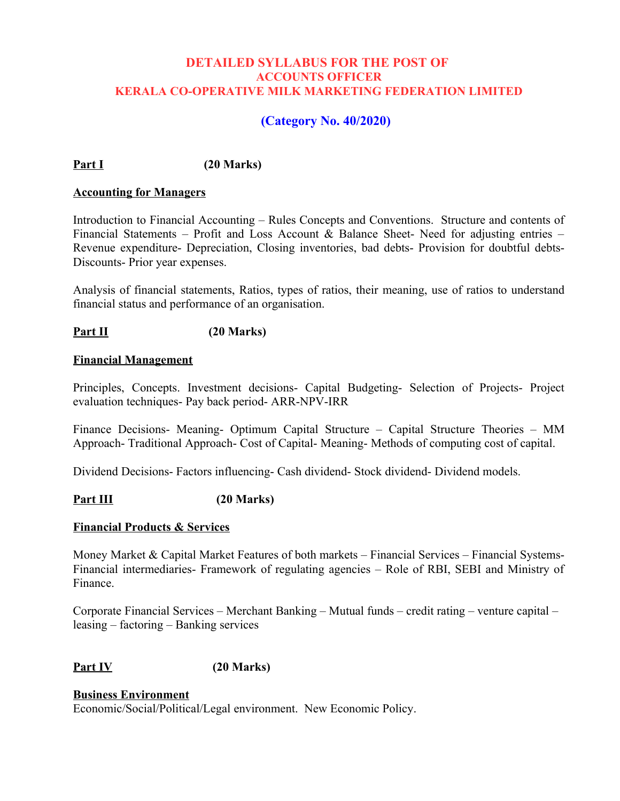## **DETAILED SYLLABUS FOR THE POST OF ACCOUNTS OFFICER KERALA CO-OPERATIVE MILK MARKETING FEDERATION LIMITED**

# **(Category No. 40/2020)**

**Part I (20 Marks)**

#### **Accounting for Managers**

Introduction to Financial Accounting – Rules Concepts and Conventions. Structure and contents of Financial Statements – Profit and Loss Account & Balance Sheet- Need for adjusting entries – Revenue expenditure- Depreciation, Closing inventories, bad debts- Provision for doubtful debts-Discounts- Prior year expenses.

Analysis of financial statements, Ratios, types of ratios, their meaning, use of ratios to understand financial status and performance of an organisation.

### **Part II (20 Marks)**

#### **Financial Management**

Principles, Concepts. Investment decisions- Capital Budgeting- Selection of Projects- Project evaluation techniques- Pay back period- ARR-NPV-IRR

Finance Decisions- Meaning- Optimum Capital Structure – Capital Structure Theories – MM Approach- Traditional Approach- Cost of Capital- Meaning- Methods of computing cost of capital.

Dividend Decisions- Factors influencing- Cash dividend- Stock dividend- Dividend models.

### Part III (20 Marks)

### **Financial Products & Services**

Money Market  $\&$  Capital Market Features of both markets – Financial Services – Financial Systems-Financial intermediaries- Framework of regulating agencies – Role of RBI, SEBI and Ministry of Finance.

Corporate Financial Services – Merchant Banking – Mutual funds – credit rating – venture capital – leasing – factoring – Banking services

## **Part IV (20 Marks)**

#### **Business Environment** Economic/Social/Political/Legal environment. New Economic Policy.